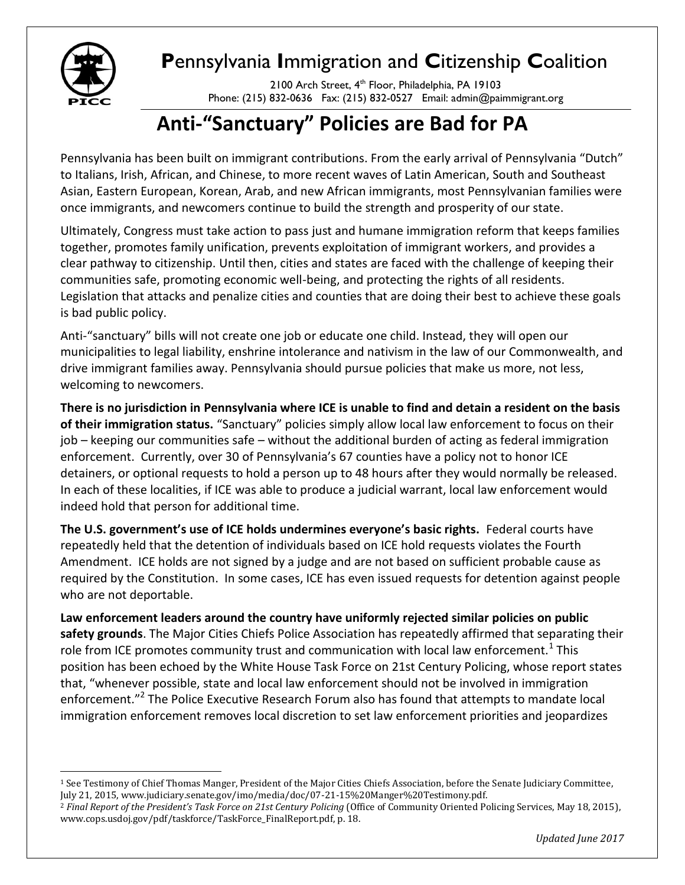

## **P**ennsylvania **I**mmigration and **C**itizenship **C**oalition

2100 Arch Street, 4<sup>th</sup> Floor, Philadelphia, PA 19103 Phone: (215) 832-0636 Fax: (215) 832-0527 Email: admin@paimmigrant.org

## **Anti-"Sanctuary" Policies are Bad for PA**

Pennsylvania has been built on immigrant contributions. From the early arrival of Pennsylvania "Dutch" to Italians, Irish, African, and Chinese, to more recent waves of Latin American, South and Southeast Asian, Eastern European, Korean, Arab, and new African immigrants, most Pennsylvanian families were once immigrants, and newcomers continue to build the strength and prosperity of our state.

Ultimately, Congress must take action to pass just and humane immigration reform that keeps families together, promotes family unification, prevents exploitation of immigrant workers, and provides a clear pathway to citizenship. Until then, cities and states are faced with the challenge of keeping their communities safe, promoting economic well-being, and protecting the rights of all residents. Legislation that attacks and penalize cities and counties that are doing their best to achieve these goals is bad public policy.

Anti-"sanctuary" bills will not create one job or educate one child. Instead, they will open our municipalities to legal liability, enshrine intolerance and nativism in the law of our Commonwealth, and drive immigrant families away. Pennsylvania should pursue policies that make us more, not less, welcoming to newcomers.

**There is no jurisdiction in Pennsylvania where ICE is unable to find and detain a resident on the basis of their immigration status.** "Sanctuary" policies simply allow local law enforcement to focus on their job – keeping our communities safe – without the additional burden of acting as federal immigration enforcement. Currently, over 30 of Pennsylvania's 67 counties have a policy not to honor ICE detainers, or optional requests to hold a person up to 48 hours after they would normally be released. In each of these localities, if ICE was able to produce a judicial warrant, local law enforcement would indeed hold that person for additional time.

**The U.S. government's use of ICE holds undermines everyone's basic rights.** Federal courts have repeatedly held that the detention of individuals based on ICE hold requests violates the Fourth Amendment. ICE holds are not signed by a judge and are not based on sufficient probable cause as required by the Constitution. In some cases, ICE has even issued requests for detention against people who are not deportable.

**Law enforcement leaders around the country have uniformly rejected similar policies on public safety grounds**. The Major Cities Chiefs Police Association has repeatedly affirmed that separating their role from ICE promotes community trust and communication with local law enforcement.<sup>1</sup> This position has been echoed by the White House Task Force on 21st Century Policing, whose report states that, "whenever possible, state and local law enforcement should not be involved in immigration enforcement."<sup>2</sup> The Police Executive Research Forum also has found that attempts to mandate local immigration enforcement removes local discretion to set law enforcement priorities and jeopardizes

 $\overline{\phantom{a}}$ <sup>1</sup> See Testimony of Chief Thomas Manger, President of the Major Cities Chiefs Association, before the Senate Judiciary Committee, July 21, 2015, www.judiciary.senate.gov/imo/media/doc/07-21-15%20Manger%20Testimony.pdf.

<sup>2</sup> *Final Report of the President's Task Force on 21st Century Policing* (Office of Community Oriented Policing Services, May 18, 2015), www.cops.usdoj.gov/pdf/taskforce/TaskForce\_FinalReport.pdf, p. 18.